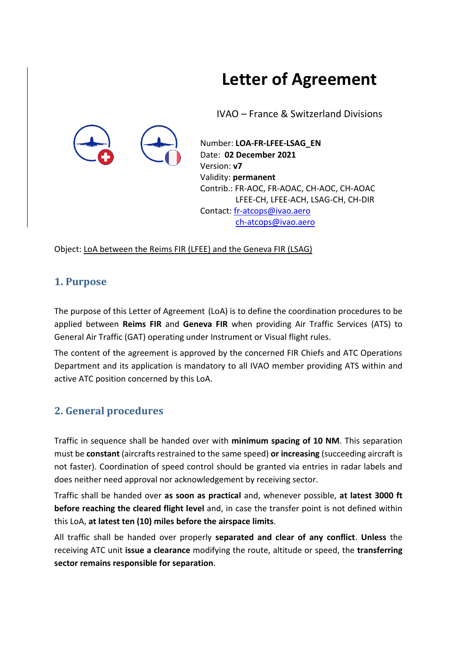# **Letter of Agreement**

IVAO – France & Switzerland Divisions

Number: **LOA-FR-LFEE-LSAG\_EN** Date: **02 December 2021** Version: **v7** Validity: **permanent** Contrib.: FR-AOC, FR-AOAC, CH-AOC, CH-AOAC LFEE-CH, LFEE-ACH, LSAG-CH, CH-DIR Contact[: fr-atcops@ivao.aero](mailto:fr-atcops@ivao.aero) [ch-atcops@ivao.aero](mailto:ch-atcops@ivao.aero)

Object: LoA between the Reims FIR (LFEE) and the Geneva FIR (LSAG)

## **1. Purpose**

The purpose of this Letter of Agreement (LoA) is to define the coordination procedures to be applied between **Reims FIR** and **Geneva FIR** when providing Air Traffic Services (ATS) to General Air Traffic (GAT) operating under Instrument or Visual flight rules.

The content of the agreement is approved by the concerned FIR Chiefs and ATC Operations Department and its application is mandatory to all IVAO member providing ATS within and active ATC position concerned by this LoA.

# **2. General procedures**

Traffic in sequence shall be handed over with **minimum spacing of 10 NM**. This separation must be **constant** (aircrafts restrained to the same speed) **or increasing** (succeeding aircraft is not faster). Coordination of speed control should be granted via entries in radar labels and does neither need approval nor acknowledgement by receiving sector.

Traffic shall be handed over **as soon as practical** and, whenever possible, **at latest 3000 ft before reaching the cleared flight level** and, in case the transfer point is not defined within this LoA, **at latest ten (10) miles before the airspace limits**.

All traffic shall be handed over properly **separated and clear of any conflict**. **Unless** the receiving ATC unit **issue a clearance** modifying the route, altitude or speed, the **transferring sector remains responsible for separation**.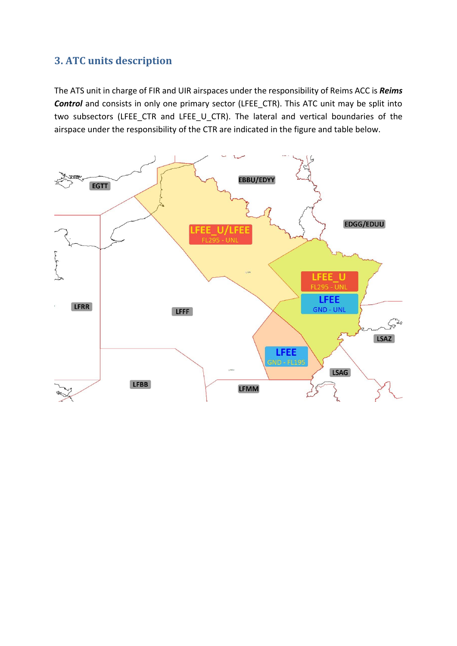## **3. ATC units description**

The ATS unit in charge of FIR and UIR airspaces under the responsibility of Reims ACC is *Reims Control* and consists in only one primary sector (LFEE\_CTR). This ATC unit may be split into two subsectors (LFEE\_CTR and LFEE\_U\_CTR). The lateral and vertical boundaries of the airspace under the responsibility of the CTR are indicated in the figure and table below.

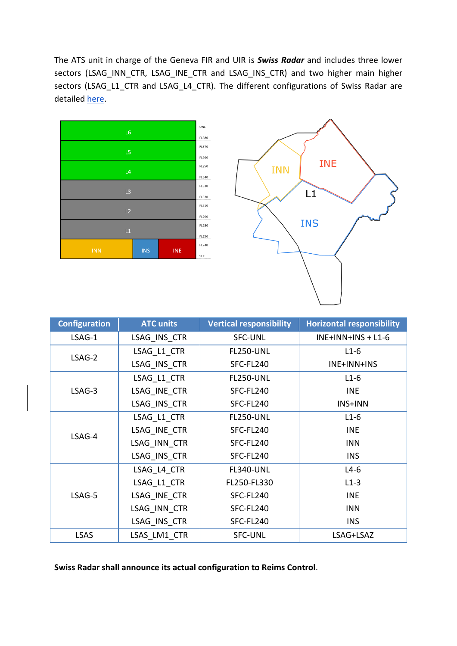The ATS unit in charge of the Geneva FIR and UIR is *Swiss Radar* and includes three lower sectors (LSAG\_INN\_CTR, LSAG\_INE\_CTR and LSAG\_INS\_CTR) and two higher main higher sectors (LSAG\_L1\_CTR and LSAG\_L4\_CTR). The different configurations of Swiss Radar are detailed [here.](https://www.ivao.ch/swiss-radar-lsag-acc/)





| <b>Configuration</b> | <b>ATC units</b> | <b>Vertical responsibility</b> | <b>Horizontal responsibility</b> |
|----------------------|------------------|--------------------------------|----------------------------------|
| LSAG-1               | LSAG INS CTR     | <b>SFC-UNL</b>                 | $INE+INN+INS + L1-6$             |
| LSAG-2               | LSAG L1 CTR      | <b>FL250-UNL</b>               | $L1-6$                           |
|                      | LSAG INS CTR     | SFC-FL240                      | INE+INN+INS                      |
|                      | LSAG L1 CTR      | <b>FL250-UNL</b>               | $L1-6$                           |
| LSAG-3               | LSAG INE CTR     | SFC-FL240                      | <b>INE</b>                       |
|                      | LSAG INS CTR     | SFC-FL240                      | INS+INN                          |
| LSAG-4               | LSAG L1 CTR      | <b>FL250-UNL</b>               | $L1-6$                           |
|                      | LSAG INE CTR     | SFC-FL240                      | <b>INE</b>                       |
|                      | LSAG INN CTR     | SFC-FL240                      | <b>INN</b>                       |
|                      | LSAG INS CTR     | SFC-FL240                      | <b>INS</b>                       |
| LSAG-5               | LSAG L4 CTR      | <b>FL340-UNL</b>               | $L4-6$                           |
|                      | LSAG_L1_CTR      | FL250-FL330                    | $L1-3$                           |
|                      | LSAG INE CTR     | SFC-FL240                      | <b>INE</b>                       |
|                      | LSAG INN CTR     | SFC-FL240                      | <b>INN</b>                       |
|                      | LSAG INS CTR     | SFC-FL240                      | <b>INS</b>                       |
| <b>LSAS</b>          | LSAS LM1 CTR     | <b>SFC-UNL</b>                 | LSAG+LSAZ                        |

**Swiss Radar shall announce its actual configuration to Reims Control**.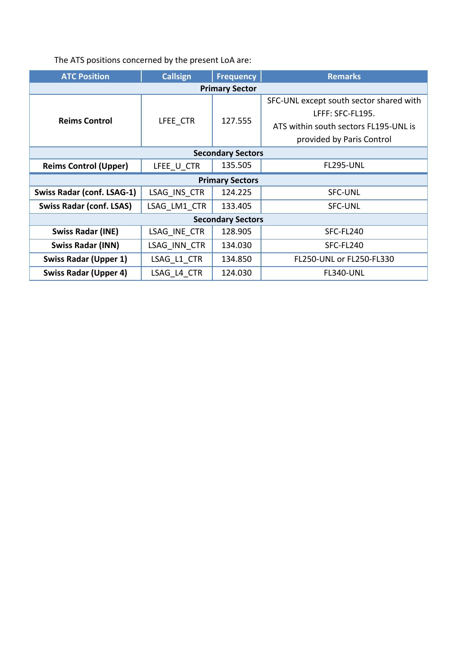# The ATS positions concerned by the present LoA are:

| <b>ATC Position</b>               | <b>Callsign</b> | <b>Frequency</b> | <b>Remarks</b>                          |  |
|-----------------------------------|-----------------|------------------|-----------------------------------------|--|
| <b>Primary Sector</b>             |                 |                  |                                         |  |
|                                   | LFEE CTR        | 127.555          | SFC-UNL except south sector shared with |  |
|                                   |                 |                  | LFFF: SFC-FL195.                        |  |
| <b>Reims Control</b>              |                 |                  | ATS within south sectors FL195-UNL is   |  |
|                                   |                 |                  | provided by Paris Control               |  |
| <b>Secondary Sectors</b>          |                 |                  |                                         |  |
| <b>Reims Control (Upper)</b>      | LFEE U CTR      | 135.505          | <b>FL295-UNL</b>                        |  |
| <b>Primary Sectors</b>            |                 |                  |                                         |  |
| <b>Swiss Radar (conf. LSAG-1)</b> | LSAG INS CTR    | 124.225          | <b>SFC-UNL</b>                          |  |
| <b>Swiss Radar (conf. LSAS)</b>   | LSAG LM1 CTR    | 133.405          | <b>SFC-UNL</b>                          |  |
| <b>Secondary Sectors</b>          |                 |                  |                                         |  |
| <b>Swiss Radar (INE)</b>          | LSAG INE CTR    | 128.905          | SFC-FL240                               |  |
| <b>Swiss Radar (INN)</b>          | LSAG INN CTR    | 134.030          | SFC-FL240                               |  |
| <b>Swiss Radar (Upper 1)</b>      | LSAG L1 CTR     | 134.850          | FL250-UNL or FL250-FL330                |  |
| <b>Swiss Radar (Upper 4)</b>      | LSAG L4 CTR     | 124.030          | <b>FL340-UNL</b>                        |  |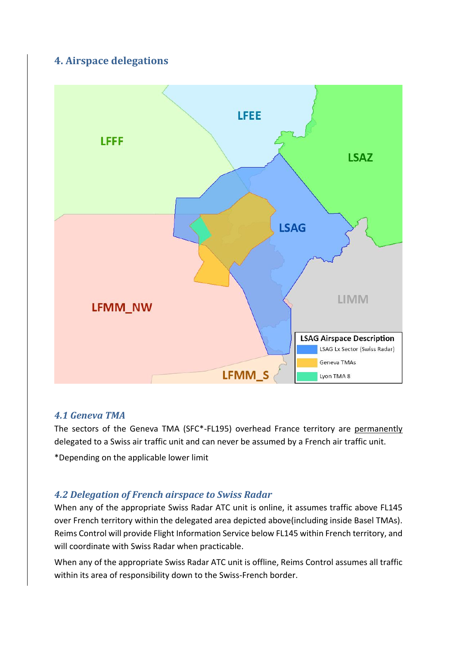# **4. Airspace delegations**



#### *4.1 Geneva TMA*

The sectors of the Geneva TMA (SFC\*-FL195) overhead France territory are permanently delegated to a Swiss air traffic unit and can never be assumed by a French air traffic unit.

\*Depending on the applicable lower limit

#### *4.2 Delegation of French airspace to Swiss Radar*

When any of the appropriate Swiss Radar ATC unit is online, it assumes traffic above FL145 over French territory within the delegated area depicted above(including inside Basel TMAs). Reims Control will provide Flight Information Service below FL145 within French territory, and will coordinate with Swiss Radar when practicable.

When any of the appropriate Swiss Radar ATC unit is offline, Reims Control assumes all traffic within its area of responsibility down to the Swiss-French border.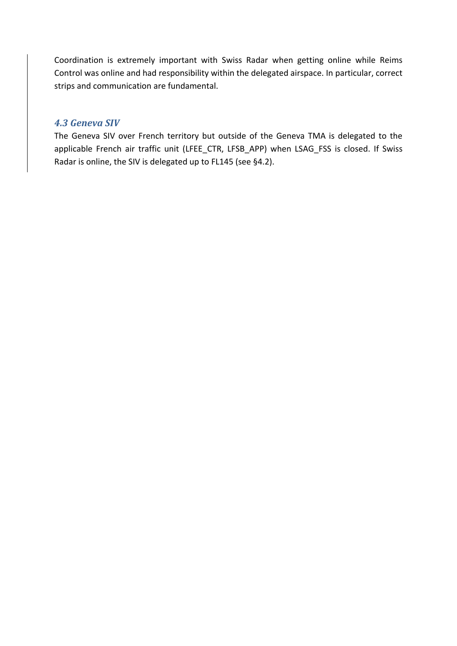Coordination is extremely important with Swiss Radar when getting online while Reims Control was online and had responsibility within the delegated airspace. In particular, correct strips and communication are fundamental.

#### *4.3 Geneva SIV*

The Geneva SIV over French territory but outside of the Geneva TMA is delegated to the applicable French air traffic unit (LFEE\_CTR, LFSB\_APP) when LSAG\_FSS is closed. If Swiss Radar is online, the SIV is delegated up to FL145 (see §4.2).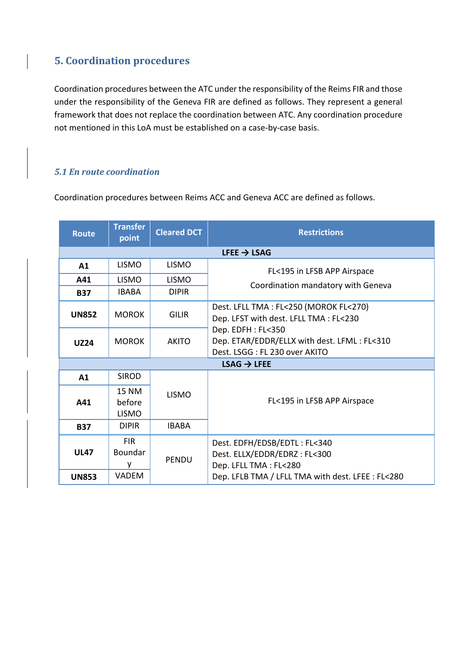# **5. Coordination procedures**

Coordination procedures between the ATC under the responsibility of the Reims FIR and those under the responsibility of the Geneva FIR are defined as follows. They represent a general framework that does not replace the coordination between ATC. Any coordination procedure not mentioned in this LoA must be established on a case-by-case basis.

#### *5.1 En route coordination*

Coordination procedures between Reims ACC and Geneva ACC are defined as follows.

| <b>Route</b>            | <b>Transfer</b><br>point                   | <b>Cleared DCT</b> | <b>Restrictions</b>                                                                               |  |
|-------------------------|--------------------------------------------|--------------------|---------------------------------------------------------------------------------------------------|--|
| LFEE $\rightarrow$ LSAG |                                            |                    |                                                                                                   |  |
| A1                      | <b>LISMO</b>                               | <b>LISMO</b>       | FL<195 in LFSB APP Airspace                                                                       |  |
| A41                     | <b>LISMO</b>                               | <b>LISMO</b>       | Coordination mandatory with Geneva                                                                |  |
| <b>B37</b>              | <b>IBABA</b>                               | <b>DIPIR</b>       |                                                                                                   |  |
| <b>UN852</b>            | <b>MOROK</b>                               | <b>GILIR</b>       | Dest. LFLL TMA: FL<250 (MOROK FL<270)<br>Dep. LFST with dest. LFLL TMA: FL<230                    |  |
| <b>UZ24</b>             | <b>MOROK</b>                               | <b>AKITO</b>       | Dep. EDFH: FL<350<br>Dep. ETAR/EDDR/ELLX with dest. LFML: FL<310<br>Dest. LSGG: FL 230 over AKITO |  |
| $LSAG \rightarrow LFEE$ |                                            |                    |                                                                                                   |  |
| A1                      | <b>SIROD</b>                               |                    |                                                                                                   |  |
| A41                     | 15 NM<br>before<br><b>LISMO</b>            | <b>LISMO</b>       | FL<195 in LFSB APP Airspace                                                                       |  |
| <b>B37</b>              | <b>DIPIR</b>                               | <b>IBABA</b>       |                                                                                                   |  |
| <b>UL47</b>             | <b>FIR</b><br>Boundar<br>۷<br><b>VADEM</b> | <b>PENDU</b>       | Dest. EDFH/EDSB/EDTL: FL<340<br>Dest. ELLX/EDDR/EDRZ: FL<300<br>Dep. LFLL TMA: FL<280             |  |
| <b>UN853</b>            |                                            |                    | Dep. LFLB TMA / LFLL TMA with dest. LFEE: FL<280                                                  |  |